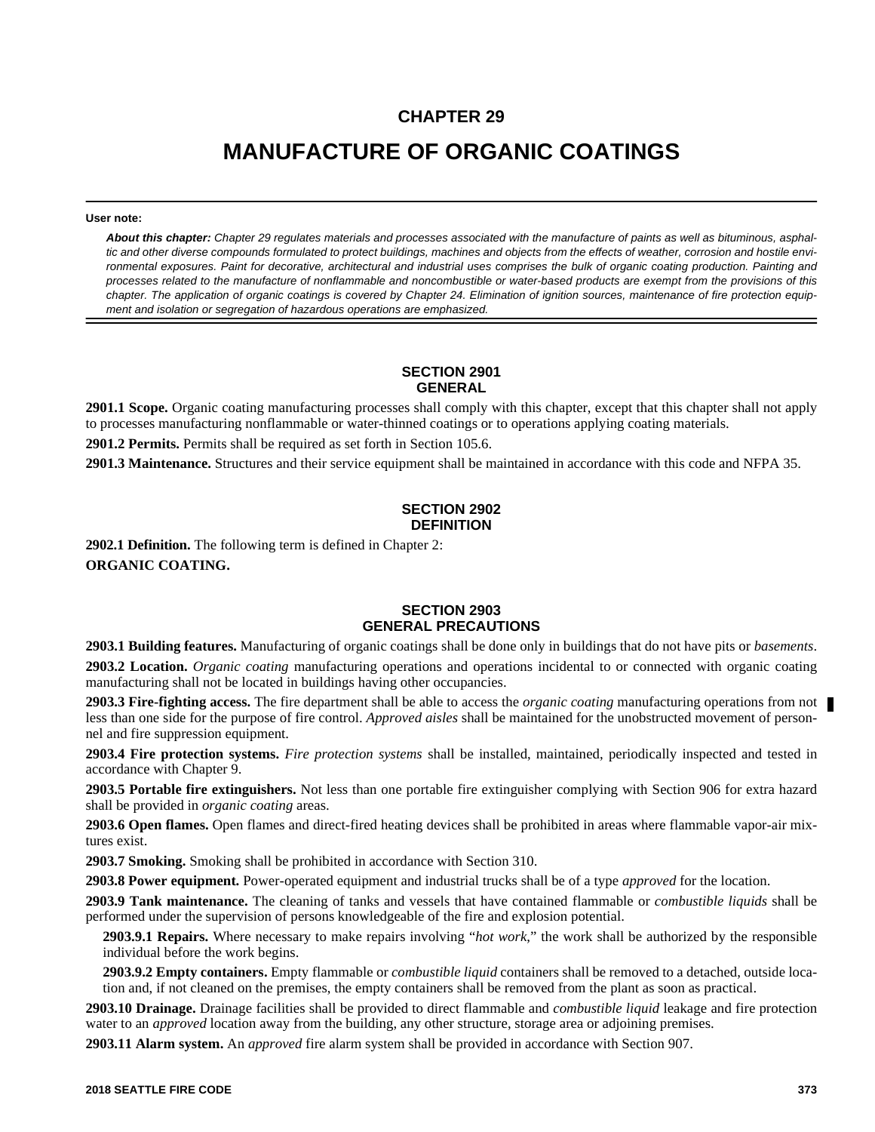## **CHAPTER 29**

# **MANUFACTURE OF ORGANIC COATINGS**

#### **User note:**

*About this chapter: Chapter 29 regulates materials and processes associated with the manufacture of paints as well as bituminous, asphaltic and other diverse compounds formulated to protect buildings, machines and objects from the effects of weather, corrosion and hostile environmental exposures. Paint for decorative, architectural and industrial uses comprises the bulk of organic coating production. Painting and processes related to the manufacture of nonflammable and noncombustible or water-based products are exempt from the provisions of this chapter. The application of organic coatings is covered by Chapter 24. Elimination of ignition sources, maintenance of fire protection equipment and isolation or segregation of hazardous operations are emphasized.*

#### **SECTION 2901 GENERAL**

**2901.1 Scope.** Organic coating manufacturing processes shall comply with this chapter, except that this chapter shall not apply to processes manufacturing nonflammable or water-thinned coatings or to operations applying coating materials.

**2901.2 Permits.** Permits shall be required as set forth in Section 105.6.

**2901.3 Maintenance.** Structures and their service equipment shall be maintained in accordance with this code and NFPA 35.

#### **SECTION 2902 DEFINITION**

**2902.1 Definition.** The following term is defined in Chapter 2: **ORGANIC COATING.**

#### **SECTION 2903 GENERAL PRECAUTIONS**

**2903.1 Building features.** Manufacturing of organic coatings shall be done only in buildings that do not have pits or *basements*. **2903.2 Location.** *Organic coating* manufacturing operations and operations incidental to or connected with organic coating manufacturing shall not be located in buildings having other occupancies.

**2903.3 Fire-fighting access.** The fire department shall be able to access the *organic coating* manufacturing operations from not less than one side for the purpose of fire control. *Approved aisles* shall be maintained for the unobstructed movement of personnel and fire suppression equipment.

**2903.4 Fire protection systems.** *Fire protection systems* shall be installed, maintained, periodically inspected and tested in accordance with Chapter 9.

**2903.5 Portable fire extinguishers.** Not less than one portable fire extinguisher complying with Section 906 for extra hazard shall be provided in *organic coating* areas.

**2903.6 Open flames.** Open flames and direct-fired heating devices shall be prohibited in areas where flammable vapor-air mixtures exist.

**2903.7 Smoking.** Smoking shall be prohibited in accordance with Section 310.

**2903.8 Power equipment.** Power-operated equipment and industrial trucks shall be of a type *approved* for the location.

**2903.9 Tank maintenance.** The cleaning of tanks and vessels that have contained flammable or *combustible liquids* shall be performed under the supervision of persons knowledgeable of the fire and explosion potential.

**2903.9.1 Repairs.** Where necessary to make repairs involving "*hot work*," the work shall be authorized by the responsible individual before the work begins.

**2903.9.2 Empty containers.** Empty flammable or *combustible liquid* containers shall be removed to a detached, outside location and, if not cleaned on the premises, the empty containers shall be removed from the plant as soon as practical.

**2903.10 Drainage.** Drainage facilities shall be provided to direct flammable and *combustible liquid* leakage and fire protection water to an *approved* location away from the building, any other structure, storage area or adjoining premises.

**2903.11 Alarm system.** An *approved* fire alarm system shall be provided in accordance with Section 907.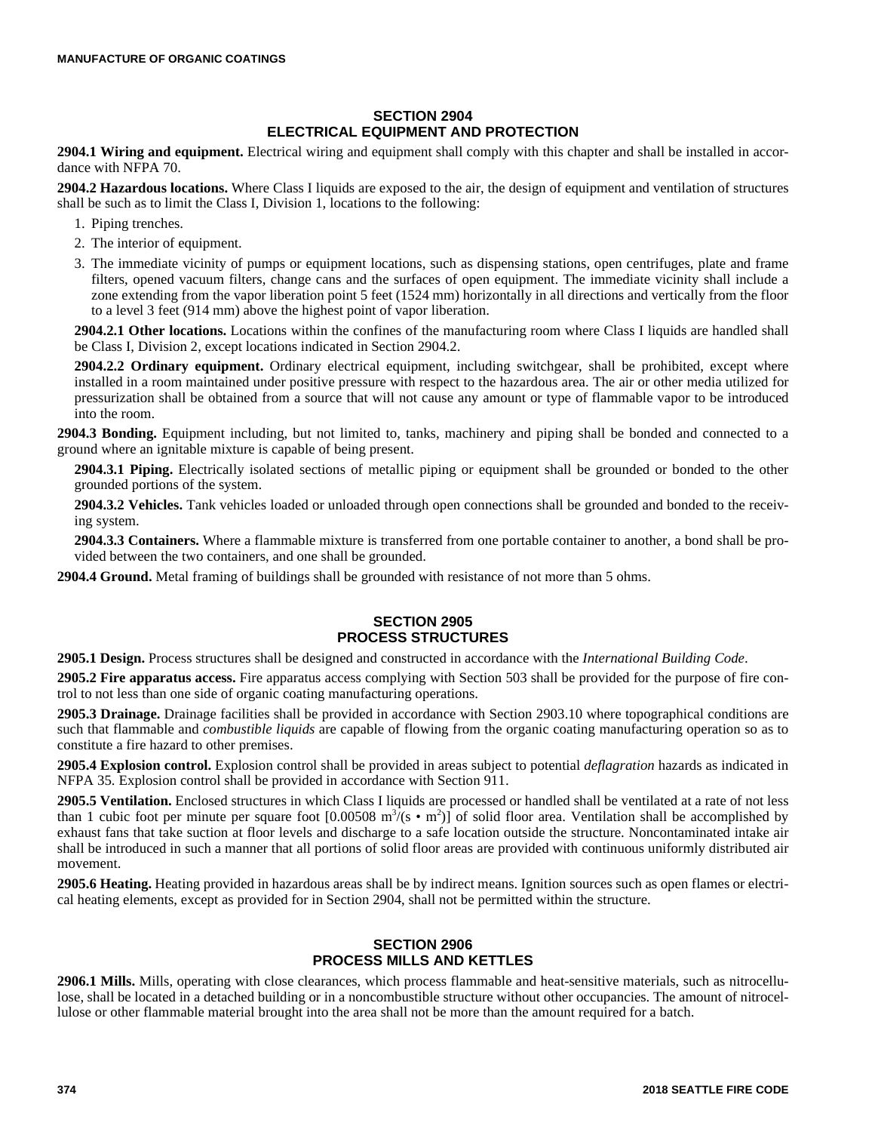#### **SECTION 2904 ELECTRICAL EQUIPMENT AND PROTECTION**

**2904.1 Wiring and equipment.** Electrical wiring and equipment shall comply with this chapter and shall be installed in accordance with NFPA 70.

**2904.2 Hazardous locations.** Where Class I liquids are exposed to the air, the design of equipment and ventilation of structures shall be such as to limit the Class I, Division 1, locations to the following:

- 1. Piping trenches.
- 2. The interior of equipment.
- 3. The immediate vicinity of pumps or equipment locations, such as dispensing stations, open centrifuges, plate and frame filters, opened vacuum filters, change cans and the surfaces of open equipment. The immediate vicinity shall include a zone extending from the vapor liberation point 5 feet (1524 mm) horizontally in all directions and vertically from the floor to a level 3 feet (914 mm) above the highest point of vapor liberation.

**2904.2.1 Other locations.** Locations within the confines of the manufacturing room where Class I liquids are handled shall be Class I, Division 2, except locations indicated in Section 2904.2.

**2904.2.2 Ordinary equipment.** Ordinary electrical equipment, including switchgear, shall be prohibited, except where installed in a room maintained under positive pressure with respect to the hazardous area. The air or other media utilized for pressurization shall be obtained from a source that will not cause any amount or type of flammable vapor to be introduced into the room.

**2904.3 Bonding.** Equipment including, but not limited to, tanks, machinery and piping shall be bonded and connected to a ground where an ignitable mixture is capable of being present.

**2904.3.1 Piping.** Electrically isolated sections of metallic piping or equipment shall be grounded or bonded to the other grounded portions of the system.

**2904.3.2 Vehicles.** Tank vehicles loaded or unloaded through open connections shall be grounded and bonded to the receiving system.

**2904.3.3 Containers.** Where a flammable mixture is transferred from one portable container to another, a bond shall be provided between the two containers, and one shall be grounded.

**2904.4 Ground.** Metal framing of buildings shall be grounded with resistance of not more than 5 ohms.

#### **SECTION 2905 PROCESS STRUCTURES**

**2905.1 Design.** Process structures shall be designed and constructed in accordance with the *International Building Code*.

**2905.2 Fire apparatus access.** Fire apparatus access complying with Section 503 shall be provided for the purpose of fire control to not less than one side of organic coating manufacturing operations.

**2905.3 Drainage.** Drainage facilities shall be provided in accordance with Section 2903.10 where topographical conditions are such that flammable and *combustible liquids* are capable of flowing from the organic coating manufacturing operation so as to constitute a fire hazard to other premises.

**2905.4 Explosion control.** Explosion control shall be provided in areas subject to potential *deflagration* hazards as indicated in NFPA 35. Explosion control shall be provided in accordance with Section 911.

**2905.5 Ventilation.** Enclosed structures in which Class I liquids are processed or handled shall be ventilated at a rate of not less than 1 cubic foot per minute per square foot  $[0.00508 \text{ m}^3\bar{\text{/}}(s \cdot \text{m}^2)]$  of solid floor area. Ventilation shall be accomplished by exhaust fans that take suction at floor levels and discharge to a safe location outside the structure. Noncontaminated intake air shall be introduced in such a manner that all portions of solid floor areas are provided with continuous uniformly distributed air movement.

**2905.6 Heating.** Heating provided in hazardous areas shall be by indirect means. Ignition sources such as open flames or electrical heating elements, except as provided for in Section 2904, shall not be permitted within the structure.

#### **SECTION 2906 PROCESS MILLS AND KETTLES**

**2906.1 Mills.** Mills, operating with close clearances, which process flammable and heat-sensitive materials, such as nitrocellulose, shall be located in a detached building or in a noncombustible structure without other occupancies. The amount of nitrocellulose or other flammable material brought into the area shall not be more than the amount required for a batch.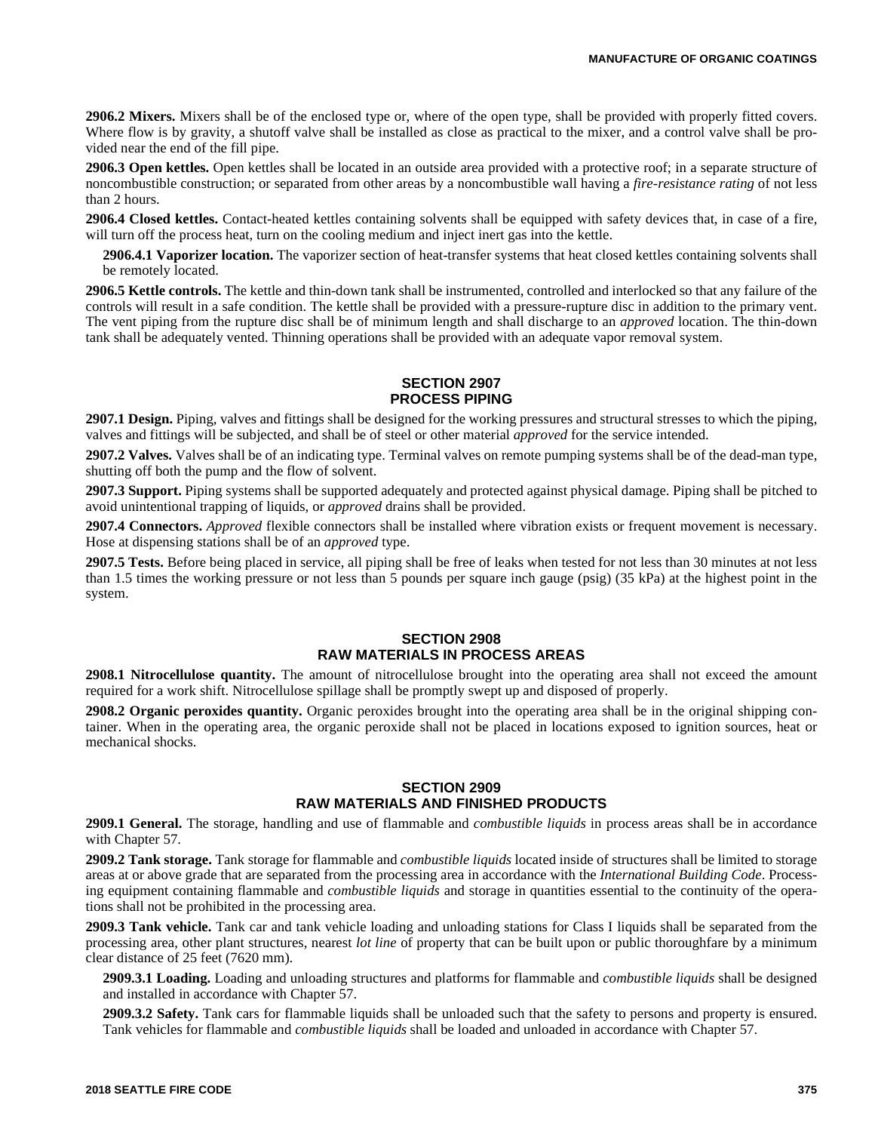**2906.2 Mixers.** Mixers shall be of the enclosed type or, where of the open type, shall be provided with properly fitted covers. Where flow is by gravity, a shutoff valve shall be installed as close as practical to the mixer, and a control valve shall be provided near the end of the fill pipe.

**2906.3 Open kettles.** Open kettles shall be located in an outside area provided with a protective roof; in a separate structure of noncombustible construction; or separated from other areas by a noncombustible wall having a *fire-resistance rating* of not less than 2 hours.

**2906.4 Closed kettles.** Contact-heated kettles containing solvents shall be equipped with safety devices that, in case of a fire, will turn off the process heat, turn on the cooling medium and inject inert gas into the kettle.

**2906.4.1 Vaporizer location.** The vaporizer section of heat-transfer systems that heat closed kettles containing solvents shall be remotely located.

**2906.5 Kettle controls.** The kettle and thin-down tank shall be instrumented, controlled and interlocked so that any failure of the controls will result in a safe condition. The kettle shall be provided with a pressure-rupture disc in addition to the primary vent. The vent piping from the rupture disc shall be of minimum length and shall discharge to an *approved* location. The thin-down tank shall be adequately vented. Thinning operations shall be provided with an adequate vapor removal system.

### **SECTION 2907 PROCESS PIPING**

**2907.1 Design.** Piping, valves and fittings shall be designed for the working pressures and structural stresses to which the piping, valves and fittings will be subjected, and shall be of steel or other material *approved* for the service intended.

**2907.2 Valves.** Valves shall be of an indicating type. Terminal valves on remote pumping systems shall be of the dead-man type, shutting off both the pump and the flow of solvent.

**2907.3 Support.** Piping systems shall be supported adequately and protected against physical damage. Piping shall be pitched to avoid unintentional trapping of liquids, or *approved* drains shall be provided.

**2907.4 Connectors.** *Approved* flexible connectors shall be installed where vibration exists or frequent movement is necessary. Hose at dispensing stations shall be of an *approved* type.

**2907.5 Tests.** Before being placed in service, all piping shall be free of leaks when tested for not less than 30 minutes at not less than 1.5 times the working pressure or not less than 5 pounds per square inch gauge (psig) (35 kPa) at the highest point in the system.

#### **SECTION 2908 RAW MATERIALS IN PROCESS AREAS**

**2908.1 Nitrocellulose quantity.** The amount of nitrocellulose brought into the operating area shall not exceed the amount required for a work shift. Nitrocellulose spillage shall be promptly swept up and disposed of properly.

**2908.2 Organic peroxides quantity.** Organic peroxides brought into the operating area shall be in the original shipping container. When in the operating area, the organic peroxide shall not be placed in locations exposed to ignition sources, heat or mechanical shocks.

#### **SECTION 2909 RAW MATERIALS AND FINISHED PRODUCTS**

**2909.1 General.** The storage, handling and use of flammable and *combustible liquids* in process areas shall be in accordance with Chapter 57.

**2909.2 Tank storage.** Tank storage for flammable and *combustible liquids* located inside of structures shall be limited to storage areas at or above grade that are separated from the processing area in accordance with the *International Building Code*. Processing equipment containing flammable and *combustible liquids* and storage in quantities essential to the continuity of the operations shall not be prohibited in the processing area.

**2909.3 Tank vehicle.** Tank car and tank vehicle loading and unloading stations for Class I liquids shall be separated from the processing area, other plant structures, nearest *lot line* of property that can be built upon or public thoroughfare by a minimum clear distance of 25 feet (7620 mm).

**2909.3.1 Loading.** Loading and unloading structures and platforms for flammable and *combustible liquids* shall be designed and installed in accordance with Chapter 57.

**2909.3.2 Safety.** Tank cars for flammable liquids shall be unloaded such that the safety to persons and property is ensured. Tank vehicles for flammable and *combustible liquids* shall be loaded and unloaded in accordance with Chapter 57.